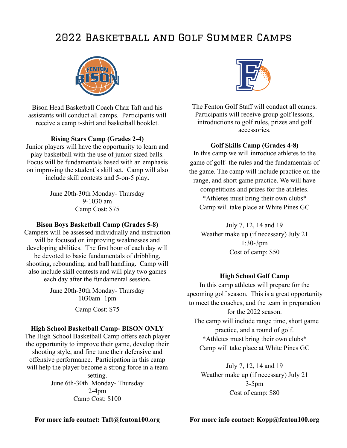# 2022 Basketball and Golf Summer Camps



Bison Head Basketball Coach Chaz Taft and his assistants will conduct all camps. Participants will receive a camp t-shirt and basketball booklet.

# **Rising Stars Camp (Grades 2-4)**

Junior players will have the opportunity to learn and play basketball with the use of junior-sized balls. Focus will be fundamentals based with an emphasis on improving the student's skill set. Camp will also include skill contests and 5-on-5 play**.**

> June 20th-30th Monday- Thursday 9-1030 am Camp Cost: \$75

#### **Bison Boys Basketball Camp (Grades 5-8)**

Campers will be assessed individually and instruction will be focused on improving weaknesses and developing abilities. The first hour of each day will be devoted to basic fundamentals of dribbling, shooting, rebounding, and ball handling. Camp will also include skill contests and will play two games each day after the fundamental session**.**

> June 20th-30th Monday- Thursday 1030am- 1pm

> > Camp Cost: \$75

#### **High School Basketball Camp- BISON ONLY**

The High School Basketball Camp offers each player the opportunity to improve their game, develop their shooting style, and fine tune their defensive and offensive performance. Participation in this camp will help the player become a strong force in a team setting. June 6th-30th Monday- Thursday 2-4pm Camp Cost: \$100



The Fenton Golf Staff will conduct all camps. Participants will receive group golf lessons, introductions to golf rules, prizes and golf accessories.

#### **Golf Skills Camp (Grades 4-8)**

In this camp we will introduce athletes to the game of golf- the rules and the fundamentals of the game. The camp will include practice on the range, and short game practice. We will have competitions and prizes for the athletes. \*Athletes must bring their own clubs\* Camp will take place at White Pines GC

July 7, 12, 14 and 19 Weather make up (if necessary) July 21 1:30-3pm Cost of camp: \$50

## **High School Golf Camp**

In this camp athletes will prepare for the upcoming golf season. This is a great opportunity to meet the coaches, and the team in preparation for the 2022 season. The camp will include range time, short game practice, and a round of golf. \*Athletes must bring their own clubs\* Camp will take place at White Pines GC

> July 7, 12, 14 and 19 Weather make up (if necessary) July 21 3-5pm Cost of camp: \$80

### **For more info contact: Taft@fenton100.org**

**For more info contact: Kopp@fenton100.org**